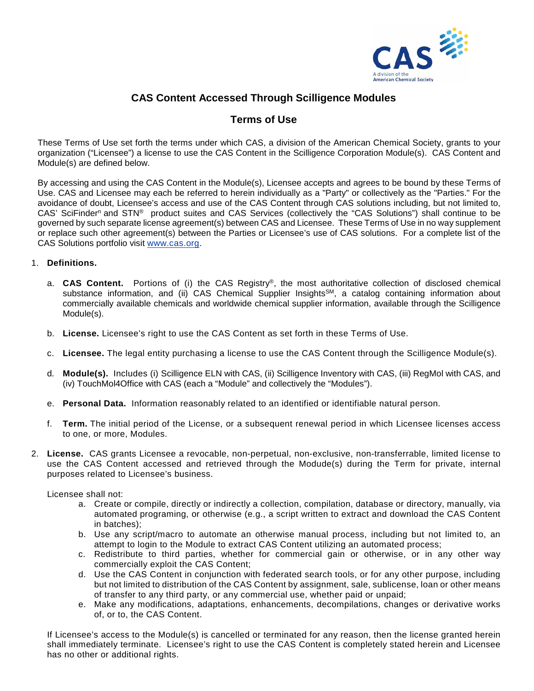

## **CAS Content Accessed Through Scilligence Modules**

## **Terms of Use**

These Terms of Use set forth the terms under which CAS, a division of the American Chemical Society, grants to your organization ("Licensee") a license to use the CAS Content in the Scilligence Corporation Module(s). CAS Content and Module(s) are defined below.

By accessing and using the CAS Content in the Module(s), Licensee accepts and agrees to be bound by these Terms of Use. CAS and Licensee may each be referred to herein individually as a "Party" or collectively as the "Parties." For the avoidance of doubt, Licensee's access and use of the CAS Content through CAS solutions including, but not limited to, CAS' SciFinder<sup>n</sup> and STN® product suites and CAS Services (collectively the "CAS Solutions") shall continue to be governed by such separate license agreement(s) between CAS and Licensee. These Terms of Use in no way supplement or replace such other agreement(s) between the Parties or Licensee's use of CAS solutions. For a complete list of the CAS Solutions portfolio visit [www.cas.org.](http://www.cas.org/)

## 1. **Definitions.**

- a. **CAS Content.** Portions of (i) the CAS Registry®, the most authoritative collection of disclosed chemical substance information, and (ii) CAS Chemical Supplier Insights<sup>SM</sup>, a catalog containing information about commercially available chemicals and worldwide chemical supplier information, available through the Scilligence Module(s).
- b. **License.** Licensee's right to use the CAS Content as set forth in these Terms of Use.
- c. **Licensee.** The legal entity purchasing a license to use the CAS Content through the Scilligence Module(s).
- d. **Module(s).** Includes (i) Scilligence ELN with CAS, (ii) Scilligence Inventory with CAS, (iii) RegMol with CAS, and (iv) TouchMol4Office with CAS (each a "Module" and collectively the "Modules").
- e. **Personal Data.** Information reasonably related to an identified or identifiable natural person.
- f. **Term.** The initial period of the License, or a subsequent renewal period in which Licensee licenses access to one, or more, Modules.
- 2. **License.** CAS grants Licensee a revocable, non-perpetual, non-exclusive, non-transferrable, limited license to use the CAS Content accessed and retrieved through the Modude(s) during the Term for private, internal purposes related to Licensee's business.

Licensee shall not:

- a. Create or compile, directly or indirectly a collection, compilation, database or directory, manually, via automated programing, or otherwise (e.g., a script written to extract and download the CAS Content in batches);
- b. Use any script/macro to automate an otherwise manual process, including but not limited to, an attempt to login to the Module to extract CAS Content utilizing an automated process;
- c. Redistribute to third parties, whether for commercial gain or otherwise, or in any other way commercially exploit the CAS Content;
- d. Use the CAS Content in conjunction with federated search tools, or for any other purpose, including but not limited to distribution of the CAS Content by assignment, sale, sublicense, loan or other means of transfer to any third party, or any commercial use, whether paid or unpaid;
- e. Make any modifications, adaptations, enhancements, decompilations, changes or derivative works of, or to, the CAS Content.

If Licensee's access to the Module(s) is cancelled or terminated for any reason, then the license granted herein shall immediately terminate. Licensee's right to use the CAS Content is completely stated herein and Licensee has no other or additional rights.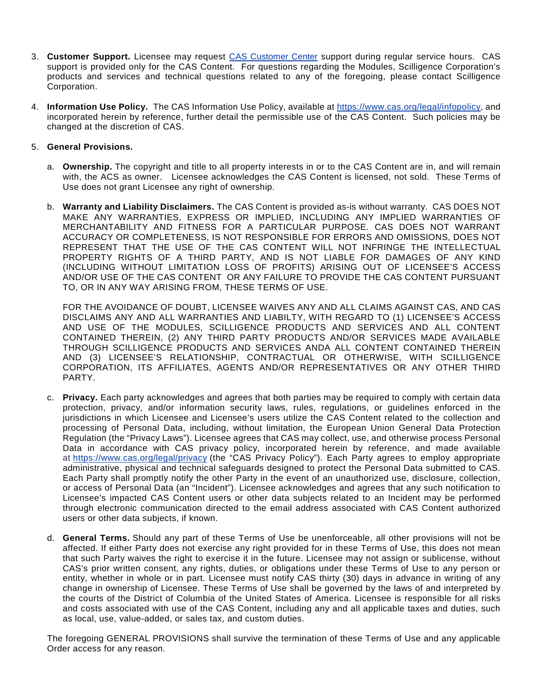- 3. **Customer Support.** Licensee may request [CAS Customer Center](https://www.cas.org/contact) support during regular service hours. CAS support is provided only for the CAS Content. For questions regarding the Modules, Scilligence Corporation's products and services and technical questions related to any of the foregoing, please contact Scilligence Corporation.
- 4. **Information Use Policy.** The CAS Information Use Policy, available at [https://www.cas.org/legal/infopolicy,](http://www.cas.org/legal/infopolicy) and incorporated herein by reference, further detail the permissible use of the CAS Content. Such policies may be changed at the discretion of CAS.
- 5. **General Provisions.** 
	- a. **Ownership.** The copyright and title to all property interests in or to the CAS Content are in, and will remain with, the ACS as owner. Licensee acknowledges the CAS Content is licensed, not sold. These Terms of Use does not grant Licensee any right of ownership.
	- b. **Warranty and Liability Disclaimers.** The CAS Content is provided as-is without warranty. CAS DOES NOT MAKE ANY WARRANTIES, EXPRESS OR IMPLIED, INCLUDING ANY IMPLIED WARRANTIES OF MERCHANTABILITY AND FITNESS FOR A PARTICULAR PURPOSE. CAS DOES NOT WARRANT ACCURACY OR COMPLETENESS, IS NOT RESPONSIBLE FOR ERRORS AND OMISSIONS, DOES NOT REPRESENT THAT THE USE OF THE CAS CONTENT WILL NOT INFRINGE THE INTELLECTUAL PROPERTY RIGHTS OF A THIRD PARTY, AND IS NOT LIABLE FOR DAMAGES OF ANY KIND (INCLUDING WITHOUT LIMITATION LOSS OF PROFITS) ARISING OUT OF LICENSEE'S ACCESS AND/OR USE OF THE CAS CONTENT OR ANY FAILURE TO PROVIDE THE CAS CONTENT PURSUANT TO, OR IN ANY WAY ARISING FROM, THESE TERMS OF USE.

FOR THE AVOIDANCE OF DOUBT, LICENSEE WAIVES ANY AND ALL CLAIMS AGAINST CAS, AND CAS DISCLAIMS ANY AND ALL WARRANTIES AND LIABILTY, WITH REGARD TO (1) LICENSEE'S ACCESS AND USE OF THE MODULES, SCILLIGENCE PRODUCTS AND SERVICES AND ALL CONTENT CONTAINED THEREIN, (2) ANY THIRD PARTY PRODUCTS AND/OR SERVICES MADE AVAILABLE THROUGH SCILLIGENCE PRODUCTS AND SERVICES ANDA ALL CONTENT CONTAINED THEREIN AND (3) LICENSEE'S RELATIONSHIP, CONTRACTUAL OR OTHERWISE, WITH SCILLIGENCE CORPORATION, ITS AFFILIATES, AGENTS AND/OR REPRESENTATIVES OR ANY OTHER THIRD PARTY.

- c. **Privacy.** Each party acknowledges and agrees that both parties may be required to comply with certain data protection, privacy, and/or information security laws, rules, regulations, or guidelines enforced in the jurisdictions in which Licensee and Licensee's users utilize the CAS Content related to the collection and processing of Personal Data, including, without limitation, the European Union General Data Protection Regulation (the "Privacy Laws"). Licensee agrees that CAS may collect, use, and otherwise process Personal Data in accordance with CAS privacy policy, incorporated herein by reference, and made available at <https://www.cas.org/legal/privacy> (the "CAS Privacy Policy"). Each Party agrees to employ appropriate administrative, physical and technical safeguards designed to protect the Personal Data submitted to CAS. Each Party shall promptly notify the other Party in the event of an unauthorized use, disclosure, collection, or access of Personal Data (an "Incident"). Licensee acknowledges and agrees that any such notification to Licensee's impacted CAS Content users or other data subjects related to an Incident may be performed through electronic communication directed to the email address associated with CAS Content authorized users or other data subjects, if known.
- d. **General Terms.** Should any part of these Terms of Use be unenforceable, all other provisions will not be affected. If either Party does not exercise any right provided for in these Terms of Use, this does not mean that such Party waives the right to exercise it in the future. Licensee may not assign or sublicense, without CAS's prior written consent, any rights, duties, or obligations under these Terms of Use to any person or entity, whether in whole or in part. Licensee must notify CAS thirty (30) days in advance in writing of any change in ownership of Licensee. These Terms of Use shall be governed by the laws of and interpreted by the courts of the District of Columbia of the United States of America. Licensee is responsible for all risks and costs associated with use of the CAS Content, including any and all applicable taxes and duties, such as local, use, value-added, or sales tax, and custom duties.

The foregoing GENERAL PROVISIONS shall survive the termination of these Terms of Use and any applicable Order access for any reason.